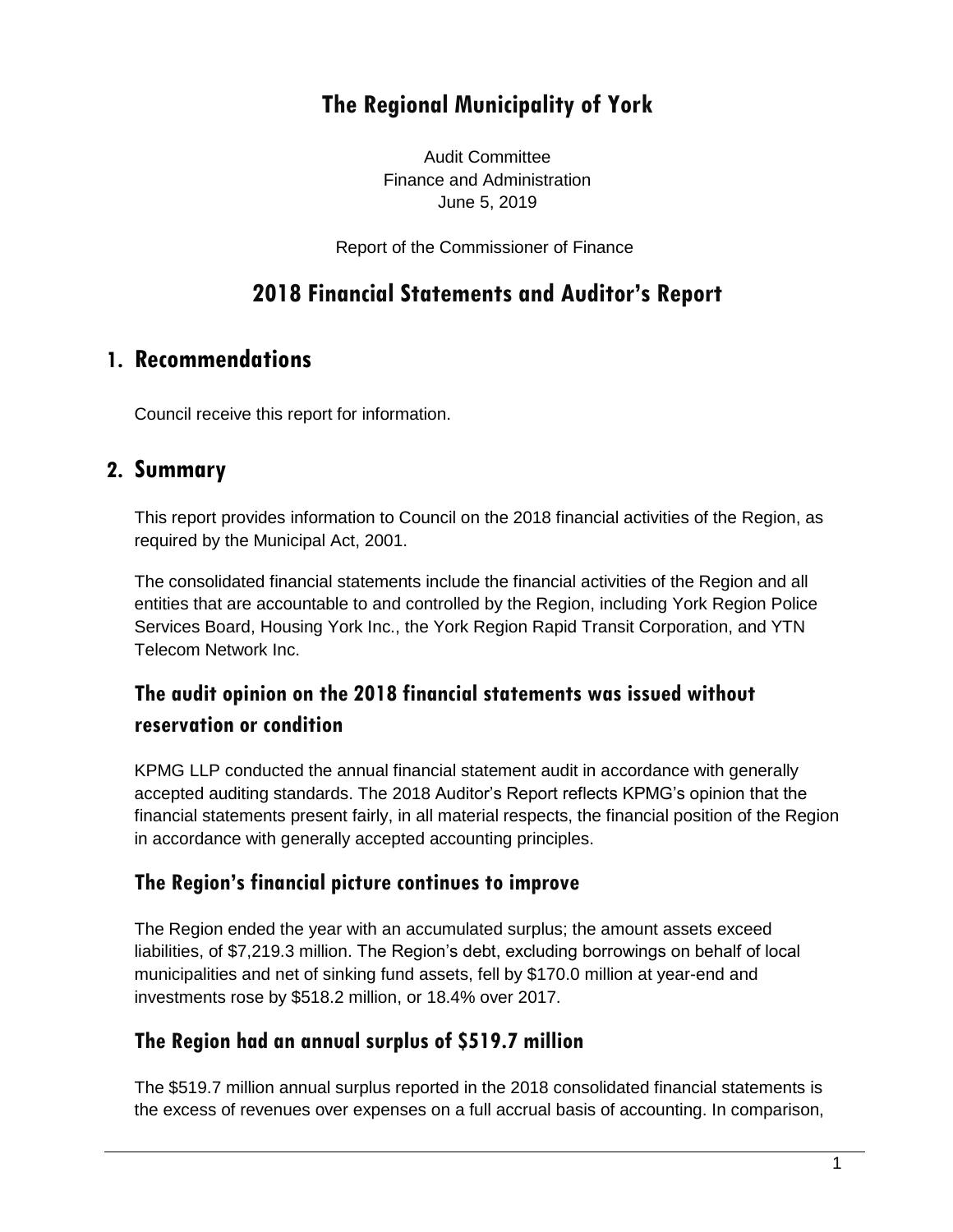# **The Regional Municipality of York**

Audit Committee Finance and Administration June 5, 2019

Report of the Commissioner of Finance

# **2018 Financial Statements and Auditor's Report**

# **1. Recommendations**

Council receive this report for information.

## **2. Summary**

This report provides information to Council on the 2018 financial activities of the Region, as required by the Municipal Act, 2001.

The consolidated financial statements include the financial activities of the Region and all entities that are accountable to and controlled by the Region, including York Region Police Services Board, Housing York Inc., the York Region Rapid Transit Corporation, and YTN Telecom Network Inc.

# **The audit opinion on the 2018 financial statements was issued without reservation or condition**

KPMG LLP conducted the annual financial statement audit in accordance with generally accepted auditing standards. The 2018 Auditor's Report reflects KPMG's opinion that the financial statements present fairly, in all material respects, the financial position of the Region in accordance with generally accepted accounting principles.

## **The Region's financial picture continues to improve**

The Region ended the year with an accumulated surplus; the amount assets exceed liabilities, of \$7,219.3 million. The Region's debt, excluding borrowings on behalf of local municipalities and net of sinking fund assets, fell by \$170.0 million at year-end and investments rose by \$518.2 million, or 18.4% over 2017.

## **The Region had an annual surplus of \$519.7 million**

The \$519.7 million annual surplus reported in the 2018 consolidated financial statements is the excess of revenues over expenses on a full accrual basis of accounting. In comparison,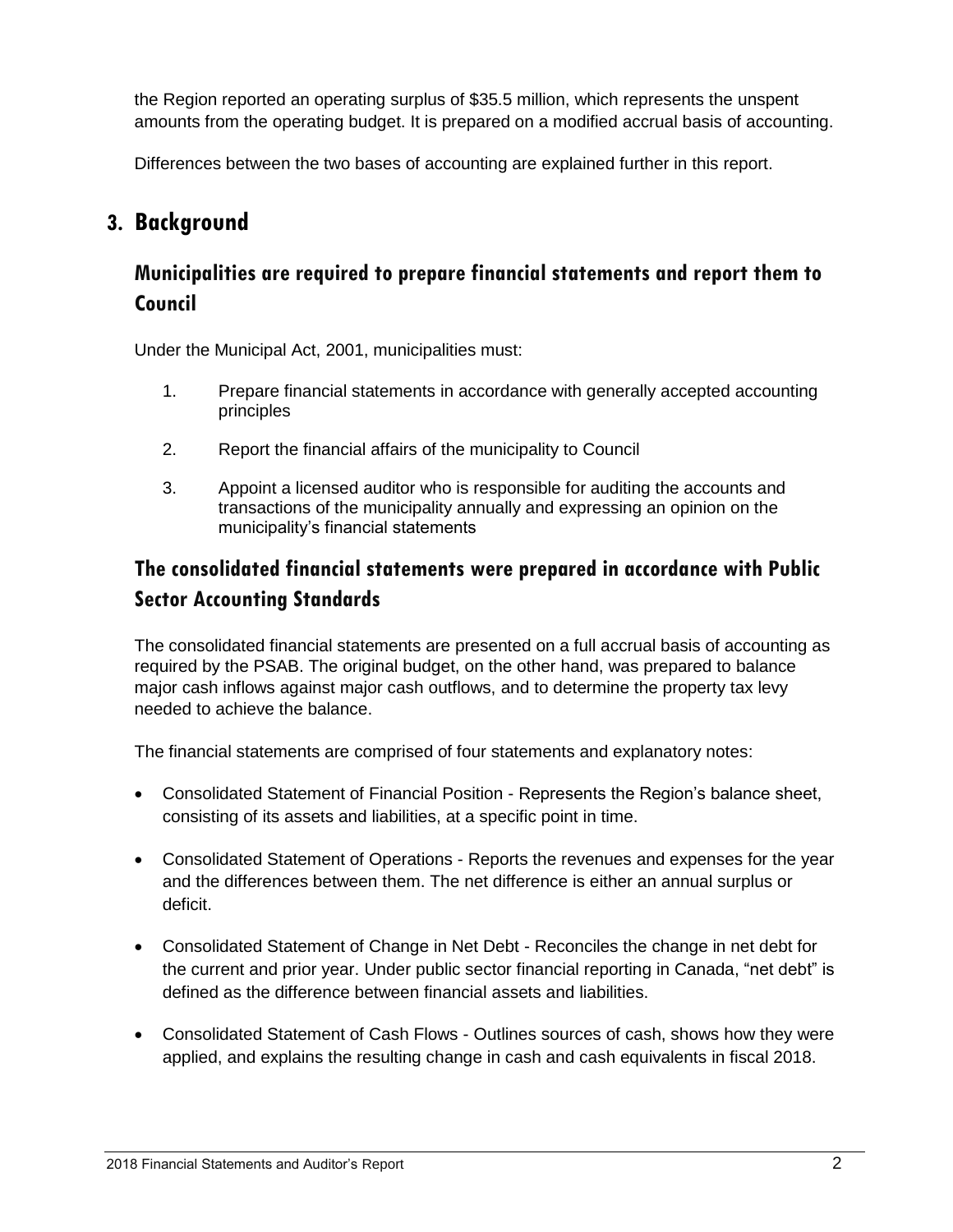the Region reported an operating surplus of \$35.5 million, which represents the unspent amounts from the operating budget. It is prepared on a modified accrual basis of accounting.

Differences between the two bases of accounting are explained further in this report.

# **3. Background**

## **Municipalities are required to prepare financial statements and report them to Council**

Under the Municipal Act, 2001, municipalities must:

- 1. Prepare financial statements in accordance with generally accepted accounting principles
- 2. Report the financial affairs of the municipality to Council
- 3. Appoint a licensed auditor who is responsible for auditing the accounts and transactions of the municipality annually and expressing an opinion on the municipality's financial statements

# **The consolidated financial statements were prepared in accordance with Public Sector Accounting Standards**

The consolidated financial statements are presented on a full accrual basis of accounting as required by the PSAB. The original budget, on the other hand, was prepared to balance major cash inflows against major cash outflows, and to determine the property tax levy needed to achieve the balance.

The financial statements are comprised of four statements and explanatory notes:

- Consolidated Statement of Financial Position Represents the Region's balance sheet, consisting of its assets and liabilities, at a specific point in time.
- Consolidated Statement of Operations Reports the revenues and expenses for the year and the differences between them. The net difference is either an annual surplus or deficit.
- Consolidated Statement of Change in Net Debt Reconciles the change in net debt for the current and prior year. Under public sector financial reporting in Canada, "net debt" is defined as the difference between financial assets and liabilities.
- Consolidated Statement of Cash Flows Outlines sources of cash, shows how they were applied, and explains the resulting change in cash and cash equivalents in fiscal 2018.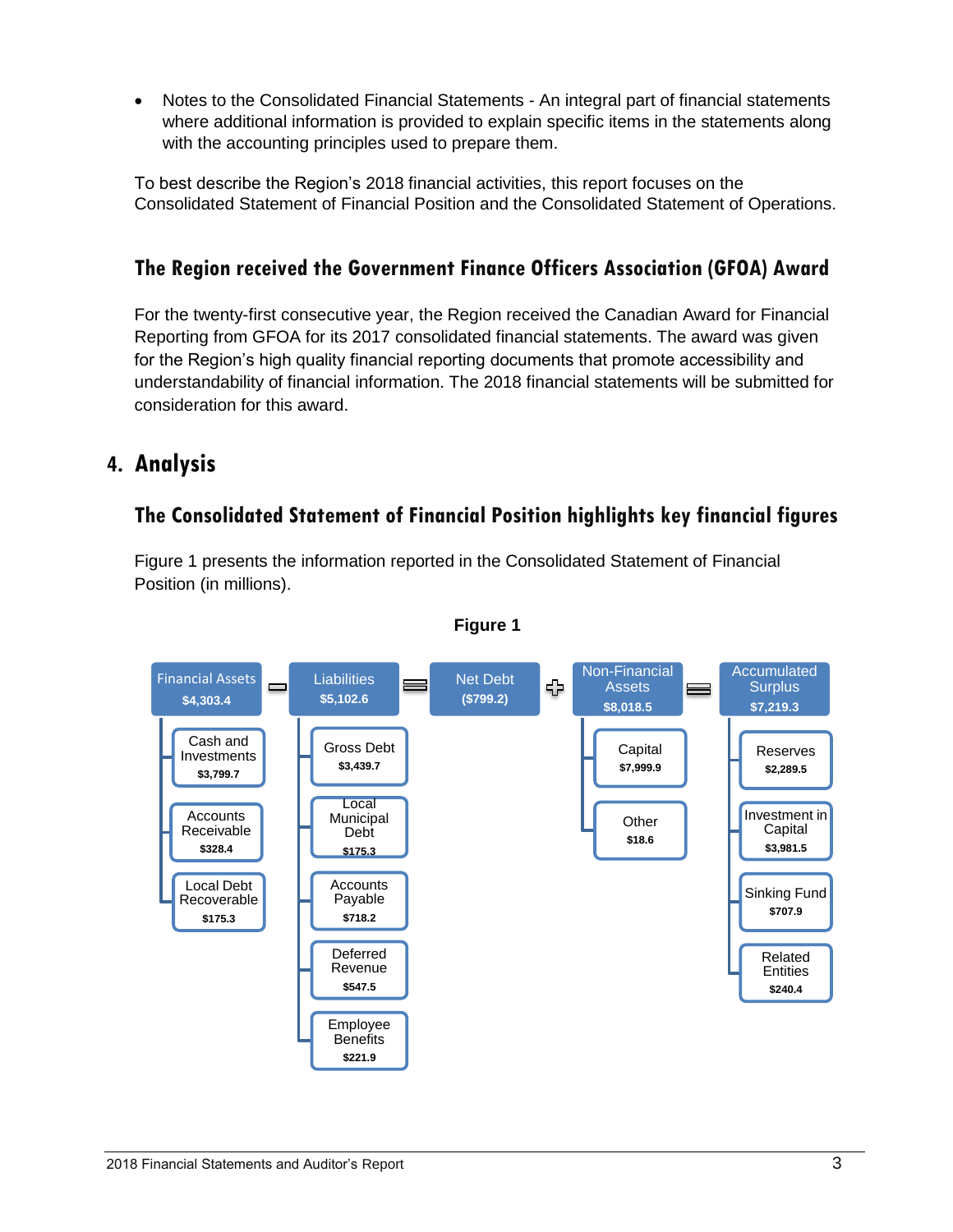• Notes to the Consolidated Financial Statements - An integral part of financial statements where additional information is provided to explain specific items in the statements along with the accounting principles used to prepare them.

To best describe the Region's 2018 financial activities, this report focuses on the Consolidated Statement of Financial Position and the Consolidated Statement of Operations.

# **The Region received the Government Finance Officers Association (GFOA) Award**

For the twenty-first consecutive year, the Region received the Canadian Award for Financial Reporting from GFOA for its 2017 consolidated financial statements. The award was given for the Region's high quality financial reporting documents that promote accessibility and understandability of financial information. The 2018 financial statements will be submitted for consideration for this award.

# **4. Analysis**

## **The Consolidated Statement of Financial Position highlights key financial figures**

Figure 1 presents the information reported in the Consolidated Statement of Financial Position (in millions).



#### **Figure 1**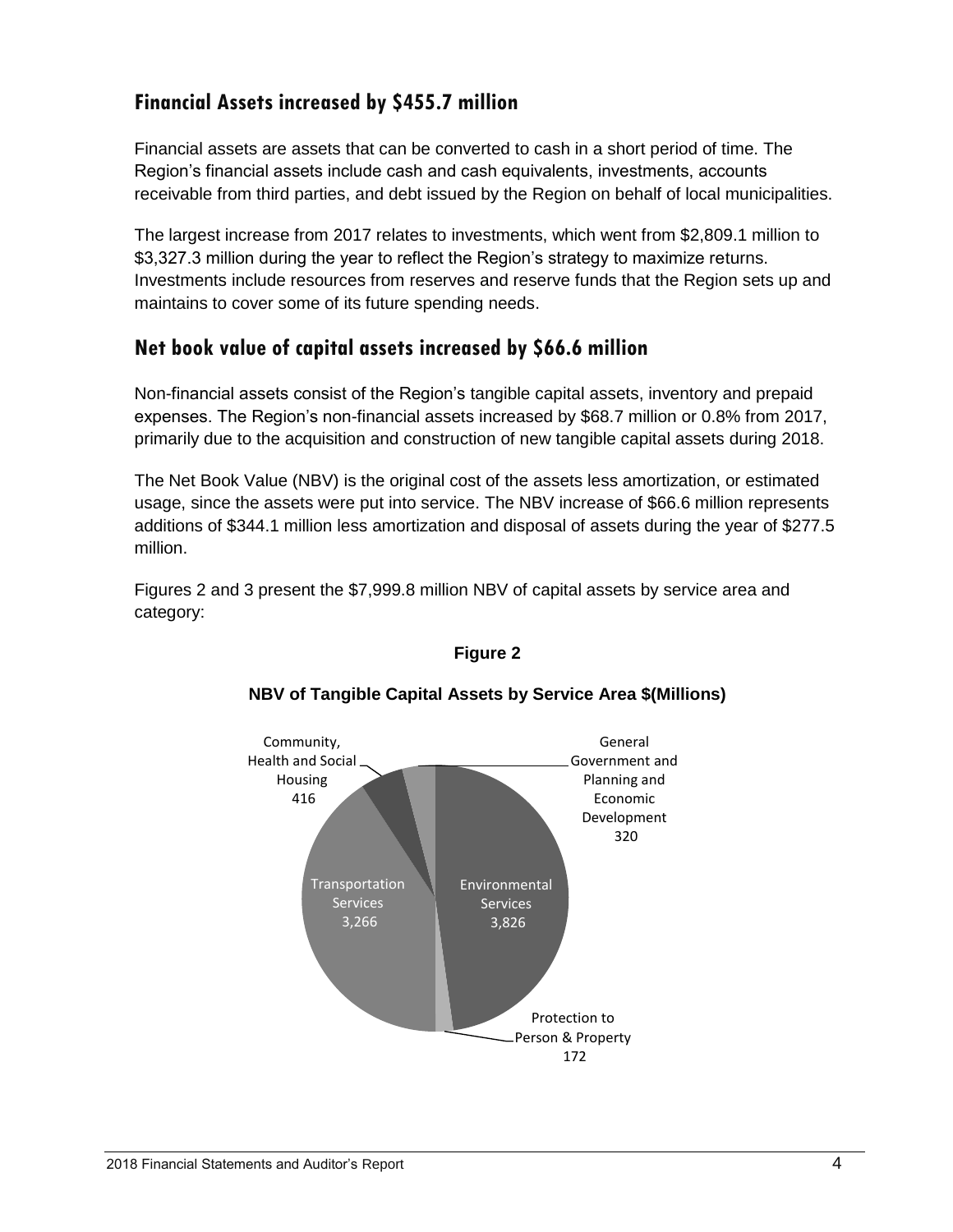## **Financial Assets increased by \$455.7 million**

Financial assets are assets that can be converted to cash in a short period of time. The Region's financial assets include cash and cash equivalents, investments, accounts receivable from third parties, and debt issued by the Region on behalf of local municipalities.

The largest increase from 2017 relates to investments, which went from \$2,809.1 million to \$3,327.3 million during the year to reflect the Region's strategy to maximize returns. Investments include resources from reserves and reserve funds that the Region sets up and maintains to cover some of its future spending needs.

#### **Net book value of capital assets increased by \$66.6 million**

Non-financial assets consist of the Region's tangible capital assets, inventory and prepaid expenses. The Region's non-financial assets increased by \$68.7 million or 0.8% from 2017, primarily due to the acquisition and construction of new tangible capital assets during 2018.

The Net Book Value (NBV) is the original cost of the assets less amortization, or estimated usage, since the assets were put into service. The NBV increase of \$66.6 million represents additions of \$344.1 million less amortization and disposal of assets during the year of \$277.5 million.

Figures 2 and 3 present the \$7,999.8 million NBV of capital assets by service area and category:



#### **Figure 2**

#### **NBV of Tangible Capital Assets by Service Area \$(Millions)**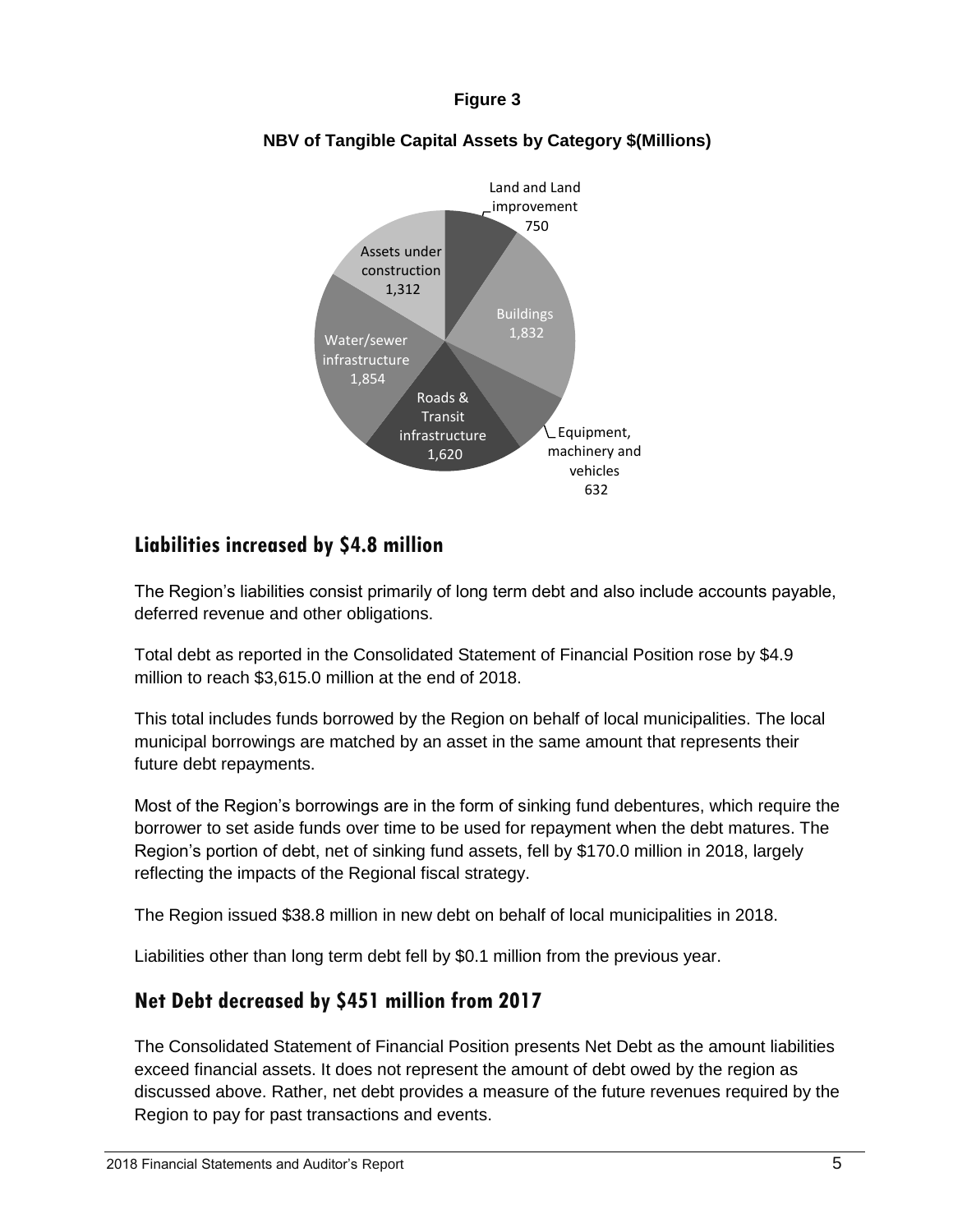#### **Figure 3**



#### **NBV of Tangible Capital Assets by Category \$(Millions)**

#### **Liabilities increased by \$4.8 million**

The Region's liabilities consist primarily of long term debt and also include accounts payable, deferred revenue and other obligations.

Total debt as reported in the Consolidated Statement of Financial Position rose by \$4.9 million to reach \$3,615.0 million at the end of 2018.

This total includes funds borrowed by the Region on behalf of local municipalities. The local municipal borrowings are matched by an asset in the same amount that represents their future debt repayments.

Most of the Region's borrowings are in the form of sinking fund debentures, which require the borrower to set aside funds over time to be used for repayment when the debt matures. The Region's portion of debt, net of sinking fund assets, fell by \$170.0 million in 2018, largely reflecting the impacts of the Regional fiscal strategy.

The Region issued \$38.8 million in new debt on behalf of local municipalities in 2018.

Liabilities other than long term debt fell by \$0.1 million from the previous year.

#### **Net Debt decreased by \$451 million from 2017**

The Consolidated Statement of Financial Position presents Net Debt as the amount liabilities exceed financial assets. It does not represent the amount of debt owed by the region as discussed above. Rather, net debt provides a measure of the future revenues required by the Region to pay for past transactions and events.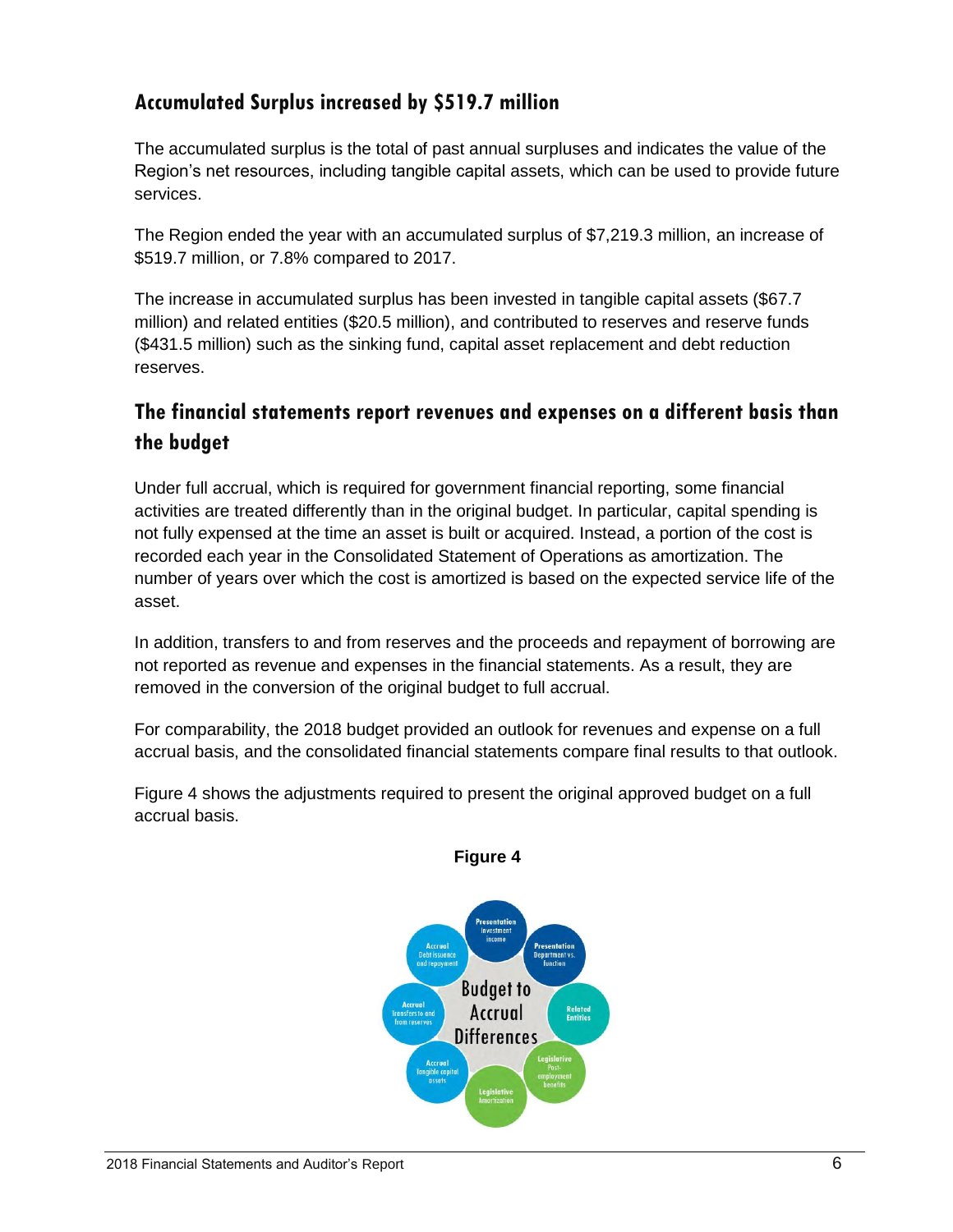## **Accumulated Surplus increased by \$519.7 million**

The accumulated surplus is the total of past annual surpluses and indicates the value of the Region's net resources, including tangible capital assets, which can be used to provide future services.

The Region ended the year with an accumulated surplus of \$7,219.3 million, an increase of \$519.7 million, or 7.8% compared to 2017.

The increase in accumulated surplus has been invested in tangible capital assets (\$67.7 million) and related entities (\$20.5 million), and contributed to reserves and reserve funds (\$431.5 million) such as the sinking fund, capital asset replacement and debt reduction reserves.

# **The financial statements report revenues and expenses on a different basis than the budget**

Under full accrual, which is required for government financial reporting, some financial activities are treated differently than in the original budget. In particular, capital spending is not fully expensed at the time an asset is built or acquired. Instead, a portion of the cost is recorded each year in the Consolidated Statement of Operations as amortization. The number of years over which the cost is amortized is based on the expected service life of the asset.

In addition, transfers to and from reserves and the proceeds and repayment of borrowing are not reported as revenue and expenses in the financial statements. As a result, they are removed in the conversion of the original budget to full accrual.

For comparability, the 2018 budget provided an outlook for revenues and expense on a full accrual basis, and the consolidated financial statements compare final results to that outlook.

Figure 4 shows the adjustments required to present the original approved budget on a full accrual basis.



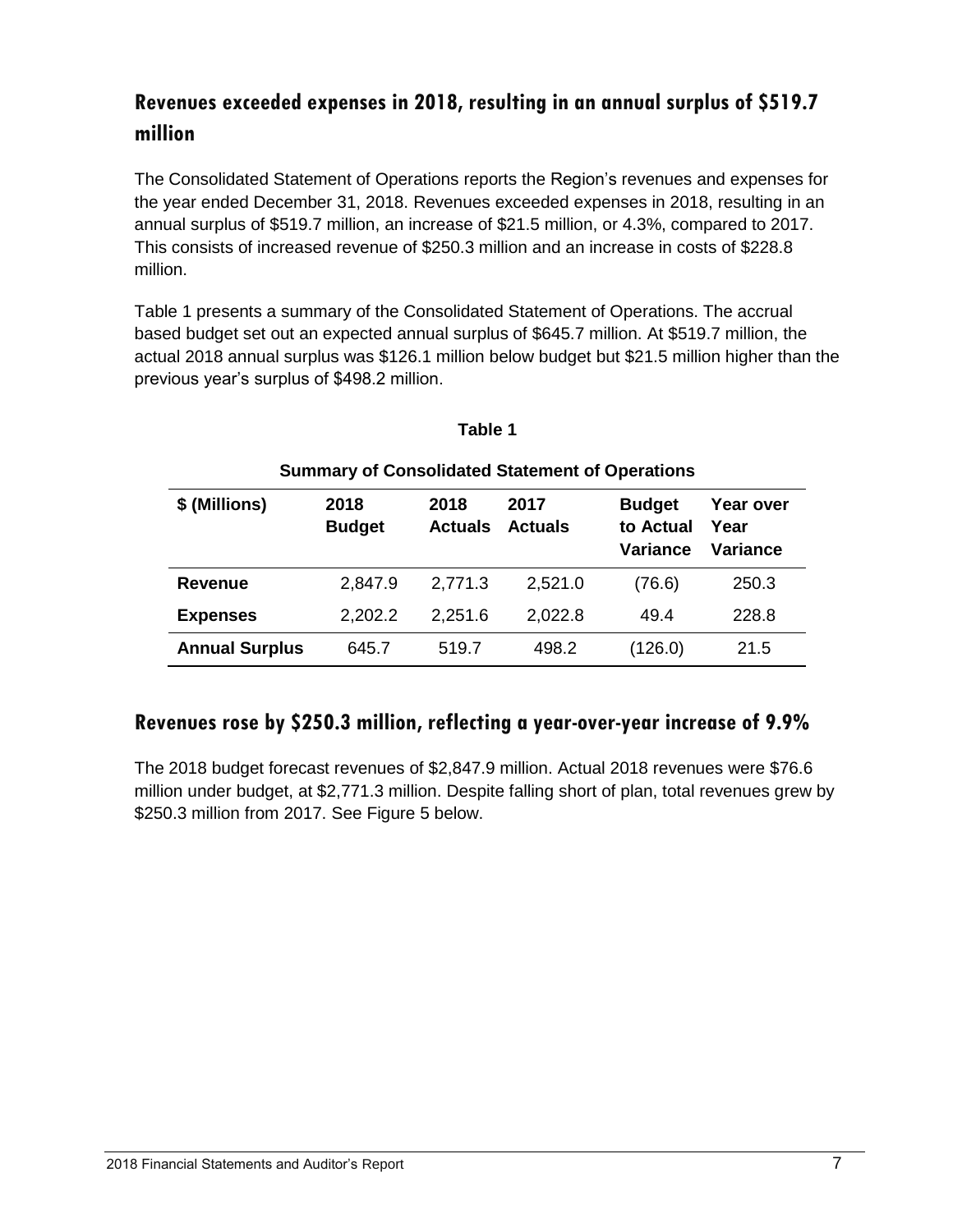# **Revenues exceeded expenses in 2018, resulting in an annual surplus of \$519.7 million**

The Consolidated Statement of Operations reports the Region's revenues and expenses for the year ended December 31, 2018. Revenues exceeded expenses in 2018, resulting in an annual surplus of \$519.7 million, an increase of \$21.5 million, or 4.3%, compared to 2017. This consists of increased revenue of \$250.3 million and an increase in costs of \$228.8 million.

Table 1 presents a summary of the Consolidated Statement of Operations. The accrual based budget set out an expected annual surplus of \$645.7 million. At \$519.7 million, the actual 2018 annual surplus was \$126.1 million below budget but \$21.5 million higher than the previous year's surplus of \$498.2 million.

| <b>Summary of Consolidated Statement of Operations</b> |                       |                        |                        |                                        |                               |  |
|--------------------------------------------------------|-----------------------|------------------------|------------------------|----------------------------------------|-------------------------------|--|
| \$ (Millions)                                          | 2018<br><b>Budget</b> | 2018<br><b>Actuals</b> | 2017<br><b>Actuals</b> | <b>Budget</b><br>to Actual<br>Variance | Year over<br>Year<br>Variance |  |
| <b>Revenue</b>                                         | 2,847.9               | 2,771.3                | 2,521.0                | (76.6)                                 | 250.3                         |  |
| <b>Expenses</b>                                        | 2,202.2               | 2,251.6                | 2,022.8                | 49.4                                   | 228.8                         |  |
| <b>Annual Surplus</b>                                  | 645.7                 | 519.7                  | 498.2                  | (126.0)                                | 21.5                          |  |

#### **Table 1**

## **Revenues rose by \$250.3 million, reflecting a year-over-year increase of 9.9%**

The 2018 budget forecast revenues of \$2,847.9 million. Actual 2018 revenues were \$76.6 million under budget, at \$2,771.3 million. Despite falling short of plan, total revenues grew by \$250.3 million from 2017. See Figure 5 below.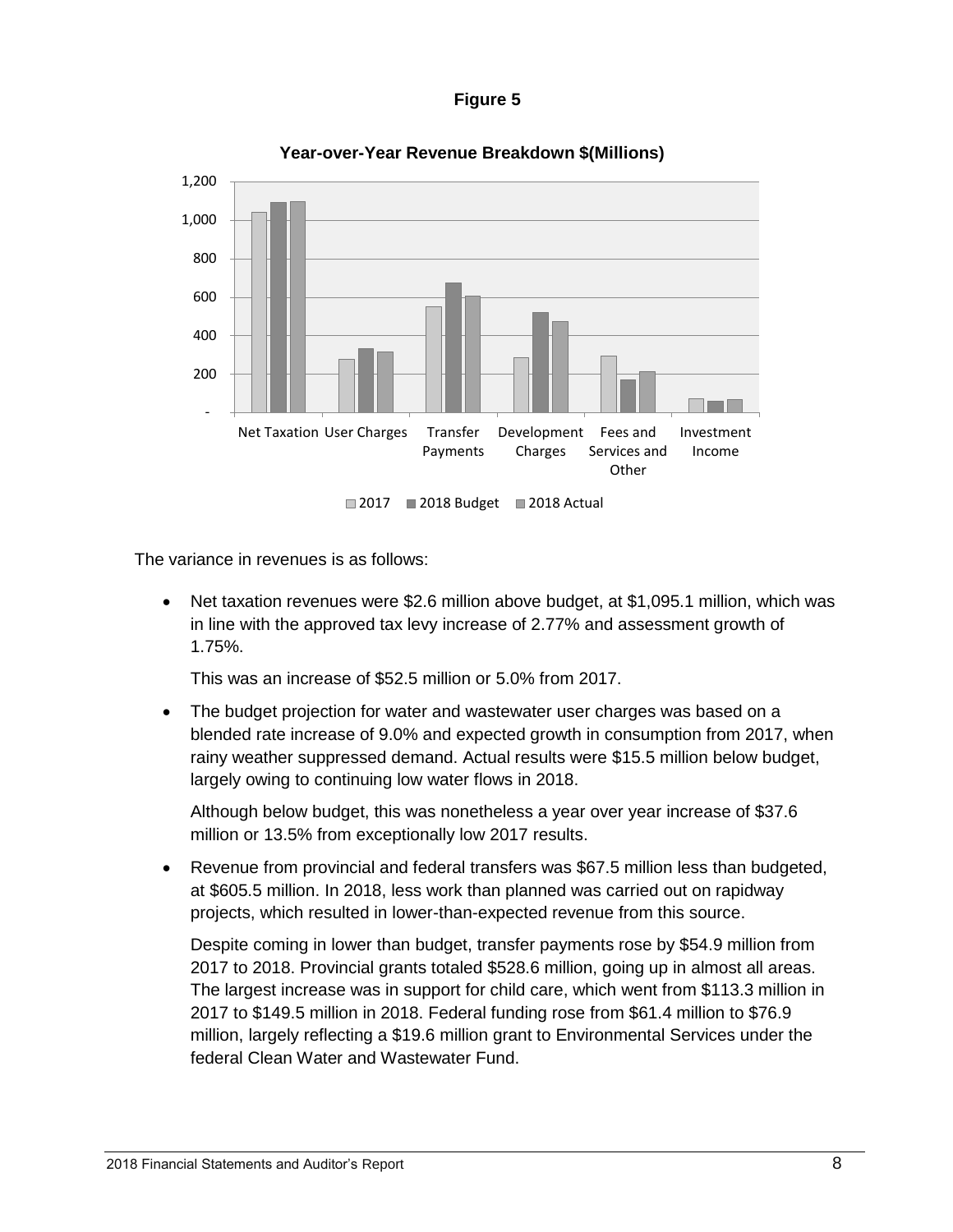#### **Figure 5**



**Year-over-Year Revenue Breakdown \$(Millions)**

The variance in revenues is as follows:

• Net taxation revenues were \$2.6 million above budget, at \$1,095.1 million, which was in line with the approved tax levy increase of 2.77% and assessment growth of 1.75%.

This was an increase of \$52.5 million or 5.0% from 2017.

 The budget projection for water and wastewater user charges was based on a blended rate increase of 9.0% and expected growth in consumption from 2017, when rainy weather suppressed demand. Actual results were \$15.5 million below budget, largely owing to continuing low water flows in 2018.

Although below budget, this was nonetheless a year over year increase of \$37.6 million or 13.5% from exceptionally low 2017 results.

 Revenue from provincial and federal transfers was \$67.5 million less than budgeted, at \$605.5 million. In 2018, less work than planned was carried out on rapidway projects, which resulted in lower-than-expected revenue from this source.

Despite coming in lower than budget, transfer payments rose by \$54.9 million from 2017 to 2018. Provincial grants totaled \$528.6 million, going up in almost all areas. The largest increase was in support for child care, which went from \$113.3 million in 2017 to \$149.5 million in 2018. Federal funding rose from \$61.4 million to \$76.9 million, largely reflecting a \$19.6 million grant to Environmental Services under the federal Clean Water and Wastewater Fund.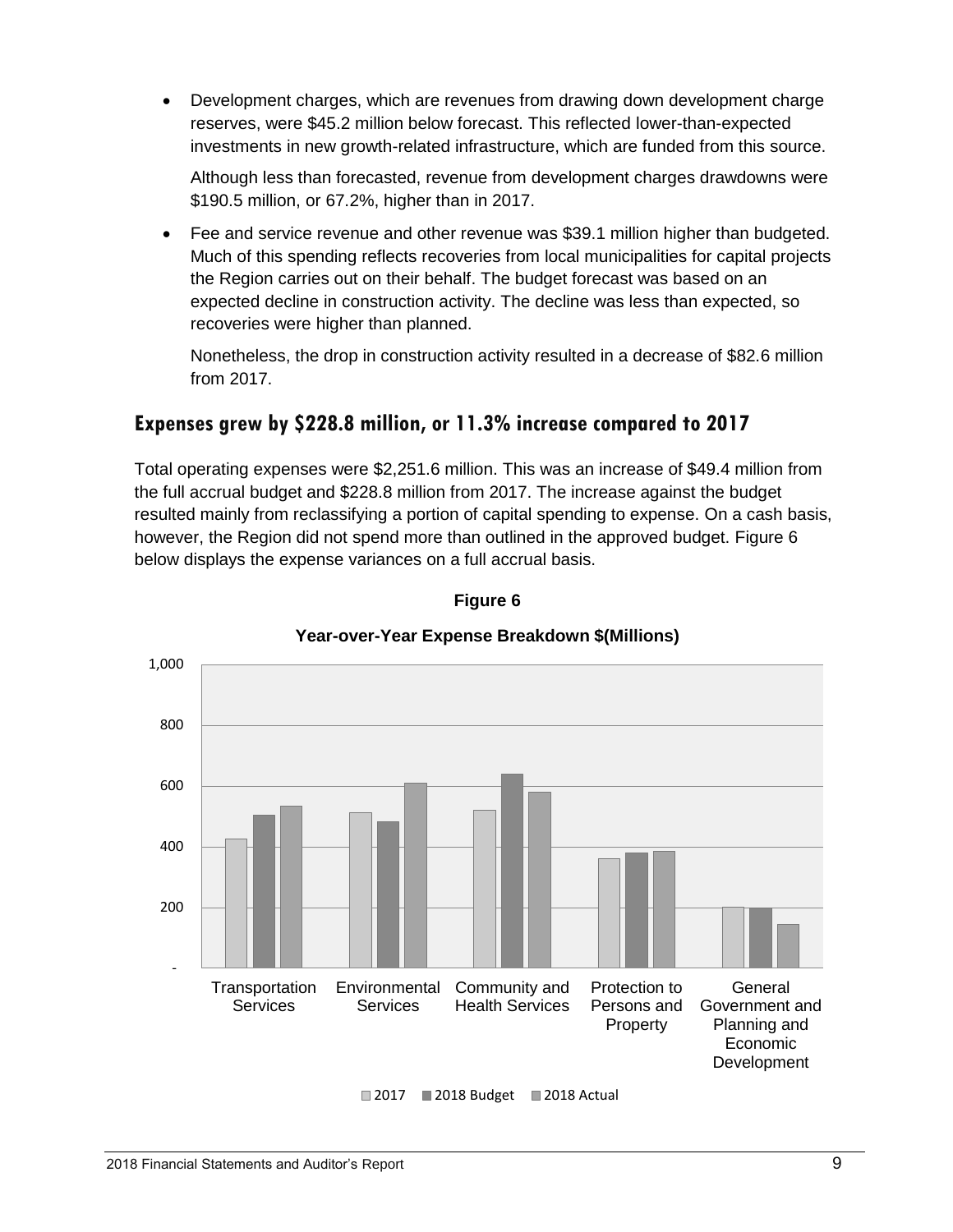Development charges, which are revenues from drawing down development charge reserves, were \$45.2 million below forecast. This reflected lower-than-expected investments in new growth-related infrastructure, which are funded from this source.

Although less than forecasted, revenue from development charges drawdowns were \$190.5 million, or 67.2%, higher than in 2017.

 Fee and service revenue and other revenue was \$39.1 million higher than budgeted. Much of this spending reflects recoveries from local municipalities for capital projects the Region carries out on their behalf. The budget forecast was based on an expected decline in construction activity. The decline was less than expected, so recoveries were higher than planned.

Nonetheless, the drop in construction activity resulted in a decrease of \$82.6 million from 2017.

## **Expenses grew by \$228.8 million, or 11.3% increase compared to 2017**

Total operating expenses were \$2,251.6 million. This was an increase of \$49.4 million from the full accrual budget and \$228.8 million from 2017. The increase against the budget resulted mainly from reclassifying a portion of capital spending to expense. On a cash basis, however, the Region did not spend more than outlined in the approved budget. Figure 6 below displays the expense variances on a full accrual basis.



#### **Figure 6**

#### **Year-over-Year Expense Breakdown \$(Millions)**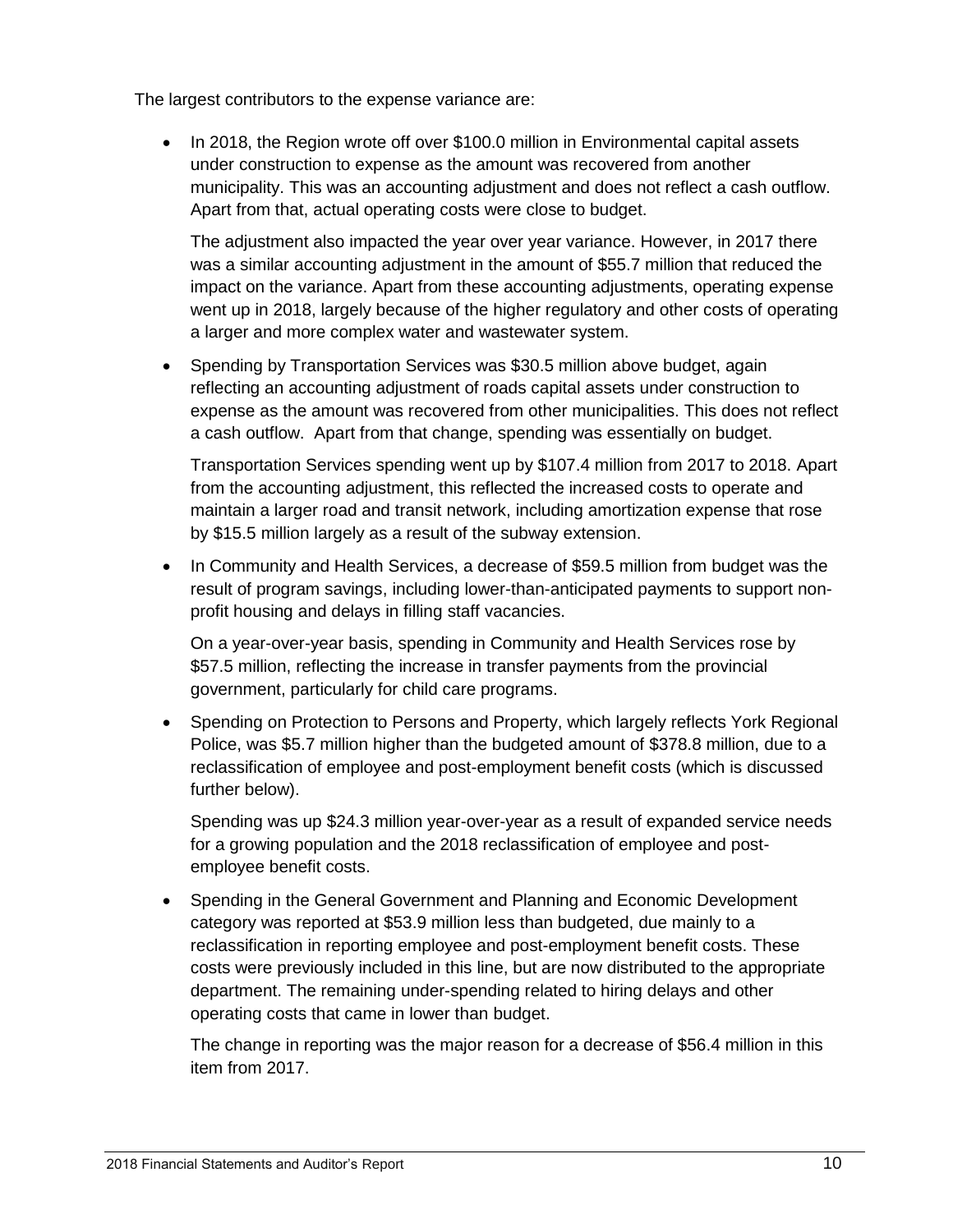The largest contributors to the expense variance are:

• In 2018, the Region wrote off over \$100.0 million in Environmental capital assets under construction to expense as the amount was recovered from another municipality. This was an accounting adjustment and does not reflect a cash outflow. Apart from that, actual operating costs were close to budget.

The adjustment also impacted the year over year variance. However, in 2017 there was a similar accounting adjustment in the amount of \$55.7 million that reduced the impact on the variance. Apart from these accounting adjustments, operating expense went up in 2018, largely because of the higher regulatory and other costs of operating a larger and more complex water and wastewater system.

• Spending by Transportation Services was \$30.5 million above budget, again reflecting an accounting adjustment of roads capital assets under construction to expense as the amount was recovered from other municipalities. This does not reflect a cash outflow. Apart from that change, spending was essentially on budget.

Transportation Services spending went up by \$107.4 million from 2017 to 2018. Apart from the accounting adjustment, this reflected the increased costs to operate and maintain a larger road and transit network, including amortization expense that rose by \$15.5 million largely as a result of the subway extension.

• In Community and Health Services, a decrease of \$59.5 million from budget was the result of program savings, including lower-than-anticipated payments to support nonprofit housing and delays in filling staff vacancies.

On a year-over-year basis, spending in Community and Health Services rose by \$57.5 million, reflecting the increase in transfer payments from the provincial government, particularly for child care programs.

• Spending on Protection to Persons and Property, which largely reflects York Regional Police, was \$5.7 million higher than the budgeted amount of \$378.8 million, due to a reclassification of employee and post-employment benefit costs (which is discussed further below).

Spending was up \$24.3 million year-over-year as a result of expanded service needs for a growing population and the 2018 reclassification of employee and postemployee benefit costs.

 Spending in the General Government and Planning and Economic Development category was reported at \$53.9 million less than budgeted, due mainly to a reclassification in reporting employee and post-employment benefit costs. These costs were previously included in this line, but are now distributed to the appropriate department. The remaining under-spending related to hiring delays and other operating costs that came in lower than budget.

The change in reporting was the major reason for a decrease of \$56.4 million in this item from 2017.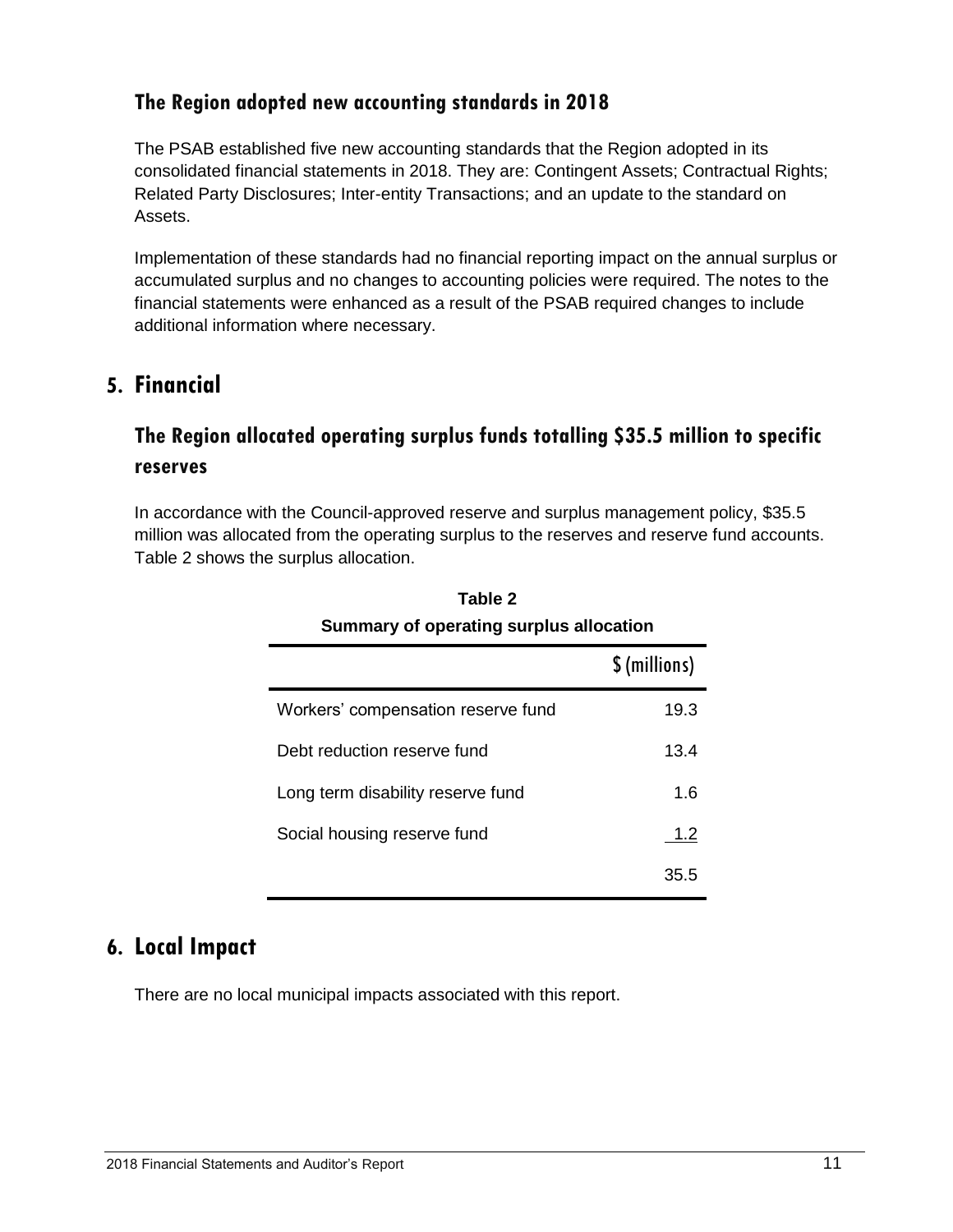#### **The Region adopted new accounting standards in 2018**

The PSAB established five new accounting standards that the Region adopted in its consolidated financial statements in 2018. They are: Contingent Assets; Contractual Rights; Related Party Disclosures; Inter-entity Transactions; and an update to the standard on Assets.

Implementation of these standards had no financial reporting impact on the annual surplus or accumulated surplus and no changes to accounting policies were required. The notes to the financial statements were enhanced as a result of the PSAB required changes to include additional information where necessary.

## **5. Financial**

# **The Region allocated operating surplus funds totalling \$35.5 million to specific reserves**

In accordance with the Council-approved reserve and surplus management policy, \$35.5 million was allocated from the operating surplus to the reserves and reserve fund accounts. Table 2 shows the surplus allocation.

|                                    | \$(millions) |  |  |  |
|------------------------------------|--------------|--|--|--|
| Workers' compensation reserve fund | 19.3         |  |  |  |
| Debt reduction reserve fund        | 13.4         |  |  |  |
| Long term disability reserve fund  | 1.6          |  |  |  |
| Social housing reserve fund        | 1.2          |  |  |  |
|                                    | 35.5         |  |  |  |

**Table 2 Summary of operating surplus allocation**

## **6. Local Impact**

There are no local municipal impacts associated with this report.